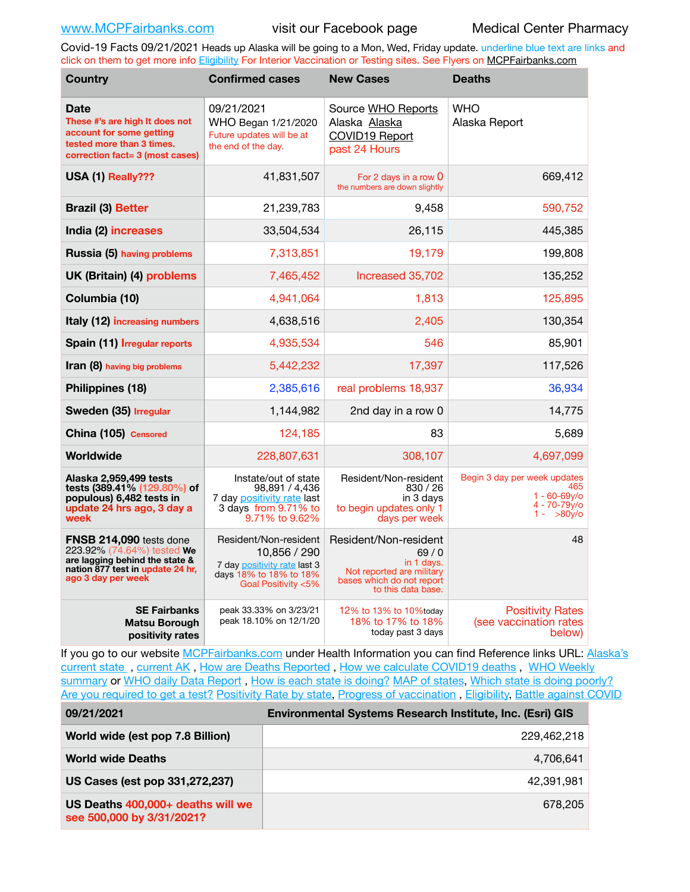Covid-19 Facts 09/21/2021 Heads up Alaska will be going to a Mon, Wed, Friday update. underline blue text are links and click on them to get more info [Eligibility](http://dhss.alaska.gov/dph/Epi/id/Pages/COVID-19/VaccineAvailability.aspx) For Interior Vaccination or Testing sites. See Flyers on [MCPFairbanks.com](http://www.MCPFairbanks.com)

| <b>Country</b>                                                                                                                                    | <b>Confirmed cases</b>                                                                                                 | <b>New Cases</b>                                                                                                            | <b>Deaths</b>                                                                             |
|---------------------------------------------------------------------------------------------------------------------------------------------------|------------------------------------------------------------------------------------------------------------------------|-----------------------------------------------------------------------------------------------------------------------------|-------------------------------------------------------------------------------------------|
| <b>Date</b><br>These #'s are high It does not<br>account for some getting<br>tested more than 3 times.<br>correction fact= 3 (most cases)         | 09/21/2021<br>WHO Began 1/21/2020<br>Future updates will be at<br>the end of the day.                                  | Source WHO Reports<br>Alaska Alaska<br>COVID19 Report<br>past 24 Hours                                                      | <b>WHO</b><br>Alaska Report                                                               |
| USA (1) Really???                                                                                                                                 | 41,831,507                                                                                                             | For 2 days in a row 0<br>the numbers are down slightly                                                                      | 669,412                                                                                   |
| <b>Brazil (3) Better</b>                                                                                                                          | 21,239,783                                                                                                             | 9.458                                                                                                                       | 590,752                                                                                   |
| India (2) increases                                                                                                                               | 33,504,534                                                                                                             | 26,115                                                                                                                      | 445,385                                                                                   |
| Russia (5) having problems                                                                                                                        | 7,313,851                                                                                                              | 19,179                                                                                                                      | 199,808                                                                                   |
| UK (Britain) (4) problems                                                                                                                         | 7,465,452                                                                                                              | Increased 35,702                                                                                                            | 135,252                                                                                   |
| Columbia (10)                                                                                                                                     | 4,941,064                                                                                                              | 1,813                                                                                                                       | 125,895                                                                                   |
| Italy (12) increasing numbers                                                                                                                     | 4,638,516                                                                                                              | 2,405                                                                                                                       | 130,354                                                                                   |
| Spain (11) Irregular reports                                                                                                                      | 4,935,534                                                                                                              | 546                                                                                                                         | 85,901                                                                                    |
| Iran (8) having big problems                                                                                                                      | 5,442,232                                                                                                              | 17,397                                                                                                                      | 117,526                                                                                   |
| Philippines (18)                                                                                                                                  | 2,385,616                                                                                                              | real problems 18,937                                                                                                        | 36,934                                                                                    |
| Sweden (35) Irregular                                                                                                                             | 1,144,982                                                                                                              | 2nd day in a row 0                                                                                                          | 14,775                                                                                    |
| China (105) Censored                                                                                                                              | 124,185                                                                                                                | 83                                                                                                                          | 5,689                                                                                     |
| Worldwide                                                                                                                                         | 228,807,631                                                                                                            | 308,107                                                                                                                     | 4,697,099                                                                                 |
| Alaska 2,959,499 tests<br>tests (389.41% (129.80%) of<br>populous) 6,482 tests in<br>update 24 hrs ago, 3 day a<br>week                           | Instate/out of state<br>98,891 / 4,436<br>7 day positivity rate last<br>3 days from 9.71% to<br>9.71% to 9.62%         | Resident/Non-resident<br>830 / 26<br>in 3 days<br>to begin updates only 1<br>days per week                                  | Begin 3 day per week updates<br>465<br>$1 - 60 - 69v$<br>$4 - 70 - 79y$ o<br>$1 - 80v$ /o |
| FNSB 214,090 tests done<br>223.92% (74.64%) tested We<br>are lagging behind the state &<br>nation 877 test in update 24 hr,<br>ago 3 day per week | Resident/Non-resident<br>10,856 / 290<br>7 day positivity rate last 3<br>days 18% to 18% to 18%<br>Goal Positivity <5% | Resident/Non-resident<br>69/0<br>in 1 days.<br>Not reported are military<br>bases which do not report<br>to this data base. | 48                                                                                        |
| <b>SE Fairbanks</b><br><b>Matsu Borough</b><br>positivity rates                                                                                   | peak 33.33% on 3/23/21<br>peak 18.10% on 12/1/20                                                                       | 12% to 13% to 10% today<br>18% to 17% to 18%<br>today past 3 days                                                           | <b>Positivity Rates</b><br>(see vaccination rates<br>below)                               |

If you go to our website [MCPFairbanks.com](http://www.MCPFairbanks.com) under Health Information you can find Reference links URL: Alaska's current state, current AK, [How are Deaths Reported](http://dhss.alaska.gov/dph/Epi/id/Pages/COVID-19/deathcounts.aspx), [How we calculate COVID19 deaths](https://coronavirus-response-alaska-dhss.hub.arcgis.com/search?collection=Document&groupIds=41ccb3344ebc4bd682c74073eba21f42), WHO Weekly [summary](http://www.who.int) or [WHO daily Data Report](https://covid19.who.int/table), [How is each state is doing?](https://www.msn.com/en-us/news/us/state-by-state-coronavirus-news/ar-BB13E1PX?fbclid=IwAR0_OBJH7lSyTN3ug_MsOeFnNgB1orTa9OBgilKJ7dhnwlVvHEsptuKkj1c) [MAP of states,](https://www.nationalgeographic.com/science/graphics/graphic-tracking-coronavirus-infections-us?cmpid=org=ngp::mc=crm-email::src=ngp::cmp=editorial::add=SpecialEdition_20210305&rid=B9A6DF5992658E8E35CE023113CFEA4C) [Which state is doing poorly?](https://bestlifeonline.com/covid-outbreak-your-state/?utm_source=nsltr&utm_medium=email&utm_content=covid-outbreak-your-state&utm_campaign=launch) [Are you required to get a test?](http://dhss.alaska.gov/dph/Epi/id/SiteAssets/Pages/HumanCoV/Whattodoafteryourtest.pdf) [Positivity Rate by state](https://coronavirus.jhu.edu/testing/individual-states/alaska), Progress of vaccination, [Eligibility,](http://dhss.alaska.gov/dph/Epi/id/Pages/COVID-19/VaccineAvailability.aspx) [Battle against COVID](https://www.nationalgeographic.com/science/graphics/graphic-tracking-coronavirus-infections-us?cmpid=org=ngp::mc=crm-email::src=ngp::cmp=editorial::add=SpecialEdition_20210219&rid=B9A6DF5992658E8E35CE023113CFEA4C)

| 09/21/2021                                                     | Environmental Systems Research Institute, Inc. (Esri) GIS |  |
|----------------------------------------------------------------|-----------------------------------------------------------|--|
| World wide (est pop 7.8 Billion)                               | 229.462.218                                               |  |
| <b>World wide Deaths</b>                                       | 4,706,641                                                 |  |
| US Cases (est pop 331,272,237)                                 | 42.391.981                                                |  |
| US Deaths 400,000+ deaths will we<br>see 500,000 by 3/31/2021? | 678,205                                                   |  |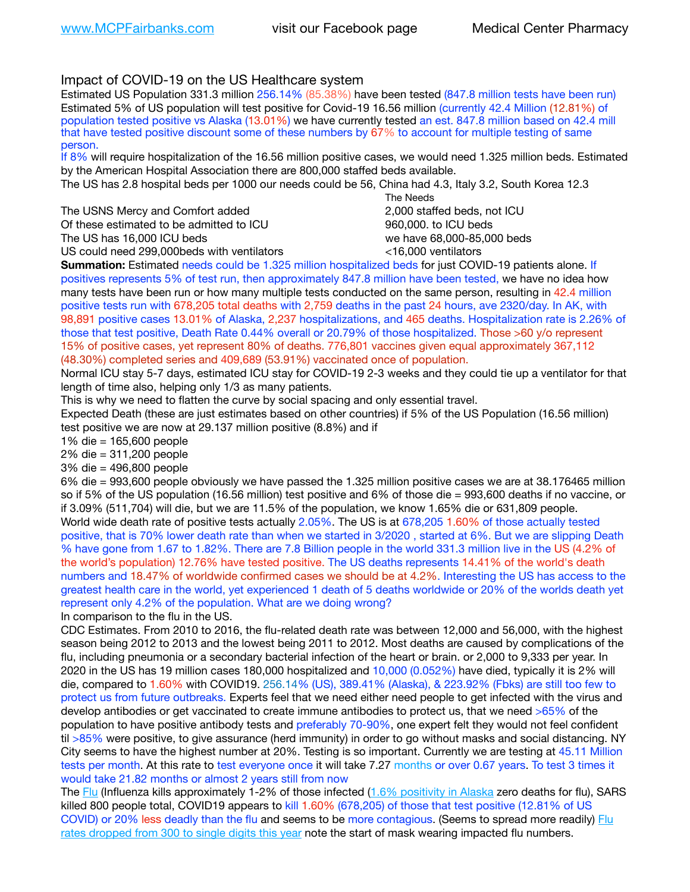# Impact of COVID-19 on the US Healthcare system

Estimated US Population 331.3 million 256.14% (85.38%) have been tested (847.8 million tests have been run) Estimated 5% of US population will test positive for Covid-19 16.56 million (currently 42.4 Million (12.81%) of population tested positive vs Alaska (13.01%) we have currently tested an est. 847.8 million based on 42.4 mill that have tested positive discount some of these numbers by 67% to account for multiple testing of same person.

If 8% will require hospitalization of the 16.56 million positive cases, we would need 1.325 million beds. Estimated by the American Hospital Association there are 800,000 staffed beds available.

The US has 2.8 hospital beds per 1000 our needs could be 56, China had 4.3, Italy 3.2, South Korea 12.3

The USNS Mercy and Comfort added 2,000 staffed beds, not ICU Of these estimated to be admitted to ICU 860,000. to ICU beds The US has 16,000 ICU beds we have 68,000-85,000 beds

 The Needs US could need 299,000 beds with ventilators  $\leq 16,000$  ventilators

**Summation:** Estimated needs could be 1.325 million hospitalized beds for just COVID-19 patients alone. If positives represents 5% of test run, then approximately 847.8 million have been tested, we have no idea how many tests have been run or how many multiple tests conducted on the same person, resulting in 42.4 million positive tests run with 678,205 total deaths with 2,759 deaths in the past 24 hours, ave 2320/day. In AK, with 98,891 positive cases 13.01% of Alaska, 2,237 hospitalizations, and 465 deaths. Hospitalization rate is 2.26% of those that test positive, Death Rate 0.44% overall or 20.79% of those hospitalized. Those >60 y/o represent 15% of positive cases, yet represent 80% of deaths. 776,801 vaccines given equal approximately 367,112 (48.30%) completed series and 409,689 (53.91%) vaccinated once of population.

Normal ICU stay 5-7 days, estimated ICU stay for COVID-19 2-3 weeks and they could tie up a ventilator for that length of time also, helping only 1/3 as many patients.

This is why we need to flatten the curve by social spacing and only essential travel.

Expected Death (these are just estimates based on other countries) if 5% of the US Population (16.56 million) test positive we are now at 29.137 million positive (8.8%) and if

1% die = 165,600 people

2% die = 311,200 people

3% die = 496,800 people

6% die = 993,600 people obviously we have passed the 1.325 million positive cases we are at 38.176465 million so if 5% of the US population (16.56 million) test positive and 6% of those die = 993,600 deaths if no vaccine, or if 3.09% (511,704) will die, but we are 11.5% of the population, we know 1.65% die or 631,809 people. World wide death rate of positive tests actually 2.05%. The US is at 678,205 1.60% of those actually tested positive, that is 70% lower death rate than when we started in 3/2020 , started at 6%. But we are slipping Death % have gone from 1.67 to 1.82%. There are 7.8 Billion people in the world 331.3 million live in the US (4.2% of the world's population) 12.76% have tested positive. The US deaths represents 14.41% of the world's death numbers and 18.47% of worldwide confirmed cases we should be at 4.2%. Interesting the US has access to the greatest health care in the world, yet experienced 1 death of 5 deaths worldwide or 20% of the worlds death yet represent only 4.2% of the population. What are we doing wrong?

In comparison to the flu in the US.

CDC Estimates. From 2010 to 2016, the flu-related death rate was between 12,000 and 56,000, with the highest season being 2012 to 2013 and the lowest being 2011 to 2012. Most deaths are caused by complications of the flu, including pneumonia or a secondary bacterial infection of the heart or brain. or 2,000 to 9,333 per year. In 2020 in the US has 19 million cases 180,000 hospitalized and 10,000 (0.052%) have died, typically it is 2% will die, compared to 1.60% with COVID19. 256.14% (US), 389.41% (Alaska), & 223.92% (Fbks) are still too few to protect us from future outbreaks. Experts feel that we need either need people to get infected with the virus and develop antibodies or get vaccinated to create immune antibodies to protect us, that we need >65% of the population to have positive antibody tests and preferably 70-90%, one expert felt they would not feel confident til >85% were positive, to give assurance (herd immunity) in order to go without masks and social distancing. NY City seems to have the highest number at 20%. Testing is so important. Currently we are testing at 45.11 Million tests per month. At this rate to test everyone once it will take 7.27 months or over 0.67 years. To test 3 times it would take 21.82 months or almost 2 years still from now

The [Flu](https://lnks.gd/l/eyJhbGciOiJIUzI1NiJ9.eyJidWxsZXRpbl9saW5rX2lkIjoxMDMsInVyaSI6ImJwMjpjbGljayIsImJ1bGxldGluX2lkIjoiMjAyMTAyMjYuMzYwNDA3NTEiLCJ1cmwiOiJodHRwczovL3d3dy5jZGMuZ292L2ZsdS93ZWVrbHkvb3ZlcnZpZXcuaHRtIn0.ePMA_hsZ-pTnhWSyg1gHvHWYTu2XceVOt0JejxvP1WE/s/500544915/br/98428119752-l) (Influenza kills approximately 1-2% of those infected ([1.6% positivity in Alaska](http://dhss.alaska.gov/dph/Epi/id/SiteAssets/Pages/influenza/trends/Snapshot.pdf) zero deaths for flu), SARS killed 800 people total, COVID19 appears to kill 1.60% (678,205) of those that test positive (12.81% of US COVID) or 20% less deadly than the flu and seems to be more contagious. (Seems to spread more readily) [Flu](https://lnks.gd/l/eyJhbGciOiJIUzI1NiJ9.eyJidWxsZXRpbl9saW5rX2lkIjoxMDEsInVyaSI6ImJwMjpjbGljayIsImJ1bGxldGluX2lkIjoiMjAyMTAyMjYuMzYwNDA3NTEiLCJ1cmwiOiJodHRwOi8vZGhzcy5hbGFza2EuZ292L2RwaC9FcGkvaWQvUGFnZXMvaW5mbHVlbnphL2ZsdWluZm8uYXNweCJ9.oOe3nt2fww6XpsNhb4FZfmtPfPa-irGaldpkURBJhSo/s/500544915/br/98428119752-l)  [rates dropped from 300 to single digits this year](https://lnks.gd/l/eyJhbGciOiJIUzI1NiJ9.eyJidWxsZXRpbl9saW5rX2lkIjoxMDEsInVyaSI6ImJwMjpjbGljayIsImJ1bGxldGluX2lkIjoiMjAyMTAyMjYuMzYwNDA3NTEiLCJ1cmwiOiJodHRwOi8vZGhzcy5hbGFza2EuZ292L2RwaC9FcGkvaWQvUGFnZXMvaW5mbHVlbnphL2ZsdWluZm8uYXNweCJ9.oOe3nt2fww6XpsNhb4FZfmtPfPa-irGaldpkURBJhSo/s/500544915/br/98428119752-l) note the start of mask wearing impacted flu numbers.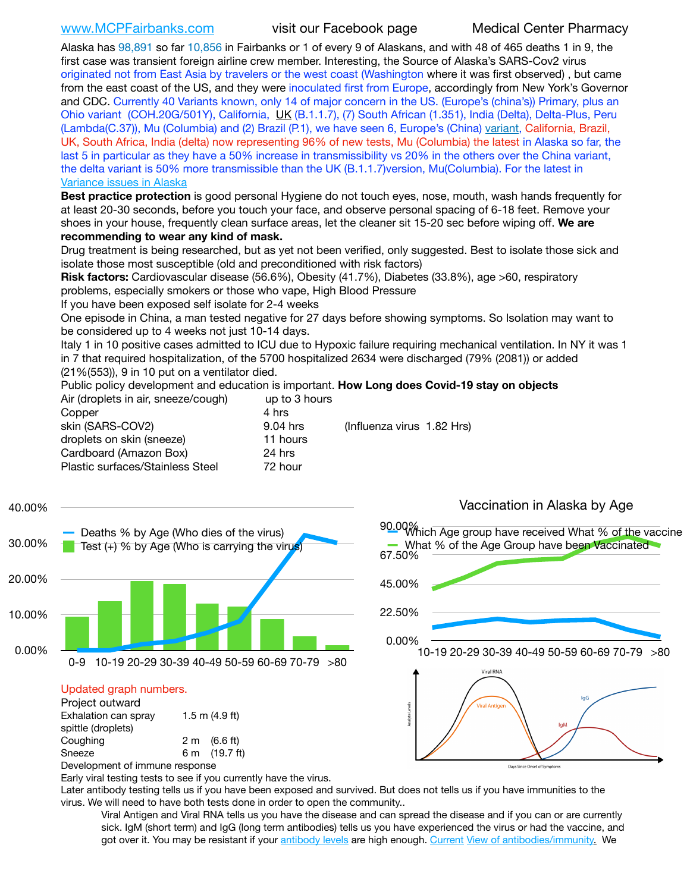[www.MCPFairbanks.com](http://www.MCPFairbanks.com) visit our Facebook page Medical Center Pharmacy

Alaska has 98,891 so far 10,856 in Fairbanks or 1 of every 9 of Alaskans, and with 48 of 465 deaths 1 in 9, the first case was transient foreign airline crew member. Interesting, the Source of Alaska's SARS-Cov2 virus originated not from East Asia by travelers or the west coast (Washington where it was first observed) , but came from the east coast of the US, and they were inoculated first from Europe, accordingly from New York's Governor and CDC. Currently 40 Variants known, only 14 of major concern in the US. (Europe's (china's)) Primary, plus an Ohio variant (COH.20G/501Y), California, [UK](https://www.cdc.gov/coronavirus/2019-ncov/transmission/variant-cases.html) (B.1.1.7), (7) South African (1.351), India (Delta), Delta-Plus, Peru (Lambda(C.37)), Mu (Columbia) and (2) Brazil (P.1), we have seen 6, Europe's (China) [variant,](https://www.webmd.com/lung/news/20210318/cdc-who-create-threat-levels-for-covid-variants?ecd=wnl_cvd_031921&ctr=wnl-cvd-031921&mb=kYbf7DsHb7YGjh/1RUkcAW0T6iorImAU1TDZh18RYs0=_Support_titleLink_2) California, Brazil, UK, South Africa, India (delta) now representing 96% of new tests, Mu (Columbia) the latest in Alaska so far, the last 5 in particular as they have a 50% increase in transmissibility vs 20% in the others over the China variant, the delta variant is 50% more transmissible than the UK (B.1.1.7)version, Mu(Columbia). For the latest in [Variance issues in Alaska](https://lnks.gd/l/eyJhbGciOiJIUzI1NiJ9.eyJidWxsZXRpbl9saW5rX2lkIjoxMDgsInVyaSI6ImJwMjpjbGljayIsImJ1bGxldGluX2lkIjoiMjAyMTA4MDUuNDQxMzM4NzEiLCJ1cmwiOiJodHRwOi8vZGhzcy5hbGFza2EuZ292L2RwaC9FcGkvaWQvc2l0ZWFzc2V0cy9wYWdlcy9odW1hbmNvdi9BS1NlcUNvbl9HZW5vbWljU2l0dWF0aW9uUmVwb3J0LnBkZiJ9.wjCZc7vYm_CIgdjPTJyJ9ehoQjtub_KeZLTKgTIA69A/s/500544915/br/110405970878-l)

**Best practice protection** is good personal Hygiene do not touch eyes, nose, mouth, wash hands frequently for at least 20-30 seconds, before you touch your face, and observe personal spacing of 6-18 feet. Remove your shoes in your house, frequently clean surface areas, let the cleaner sit 15-20 sec before wiping off. **We are recommending to wear any kind of mask.**

Drug treatment is being researched, but as yet not been verified, only suggested. Best to isolate those sick and isolate those most susceptible (old and preconditioned with risk factors)

**Risk factors:** Cardiovascular disease (56.6%), Obesity (41.7%), Diabetes (33.8%), age >60, respiratory problems, especially smokers or those who vape, High Blood Pressure

If you have been exposed self isolate for 2-4 weeks

One episode in China, a man tested negative for 27 days before showing symptoms. So Isolation may want to be considered up to 4 weeks not just 10-14 days.

Italy 1 in 10 positive cases admitted to ICU due to Hypoxic failure requiring mechanical ventilation. In NY it was 1 in 7 that required hospitalization, of the 5700 hospitalized 2634 were discharged (79% (2081)) or added (21%(553)), 9 in 10 put on a ventilator died.

Public policy development and education is important. **How Long does Covid-19 stay on objects**

| Air (droplets in air, sneeze/cough) | up to 3 hours |                            |
|-------------------------------------|---------------|----------------------------|
| Copper                              | 4 hrs         |                            |
| skin (SARS-COV2)                    | 9.04 hrs      | (Influenza virus 1.82 Hrs) |
| droplets on skin (sneeze)           | 11 hours      |                            |
| Cardboard (Amazon Box)              | 24 hrs        |                            |
| Plastic surfaces/Stainless Steel    | 72 hour       |                            |
|                                     |               |                            |



## Updated graph numbers.

40.00%

| Project outward                |  |                        |  |  |
|--------------------------------|--|------------------------|--|--|
| Exhalation can spray           |  | $1.5$ m $(4.9$ ft)     |  |  |
| spittle (droplets)             |  |                        |  |  |
| Coughing                       |  | $2 \text{ m}$ (6.6 ft) |  |  |
| Sneeze                         |  | 6 m (19.7 ft)          |  |  |
| Development of immune response |  |                        |  |  |



Early viral testing tests to see if you currently have the virus.

Later antibody testing tells us if you have been exposed and survived. But does not tells us if you have immunities to the virus. We will need to have both tests done in order to open the community..

Viral Antigen and Viral RNA tells us you have the disease and can spread the disease and if you can or are currently sick. IgM (short term) and IgG (long term antibodies) tells us you have experienced the virus or had the vaccine, and got over it. You may be resistant if your [antibody levels](https://www.cdc.gov/coronavirus/2019-ncov/lab/resources/antibody-tests.html) are high enough. [Current](https://l.facebook.com/l.php?u=https://www.itv.com/news/2020-10-26/covid-19-antibody-levels-reduce-over-time-study-finds?fbclid=IwAR3Dapzh1qIH1EIOdUQI2y8THf7jfA4KBCaJz8Qg-8xe1YsrR4nsAHDIXSY&h=AT30nut8pkqp0heVuz5W2rT2WFFm-2Ab52BsJxZZCNlGsX58IpPkuVEPULbIUV_M16MAukx1Kwb657DPXxsgDN1rpOQ4gqBtQsmVYiWpnHPJo2RQsU6CPMd14lgLnQnFWxfVi6zvmw&__tn__=-UK-R&c%5B0%5D=AT1GaRAfR_nGAyqcn7TI1-PpvqOqEKXHnz6TDWvRStMnOSH7boQDvTiwTOc6VId9UES6LKiOmm2m88wKCoolkJyOFvakt2Z1Mw8toYWGGoWW23r0MNVBl7cYJXB_UOvGklNHaNnaNr1_S7NhT3BSykNOBg) [View of antibodies/immunity](https://www.livescience.com/antibodies.html)[.](https://www.itv.com/news/2020-10-26/covid-19-antibody-levels-reduce-over-time-study-finds) We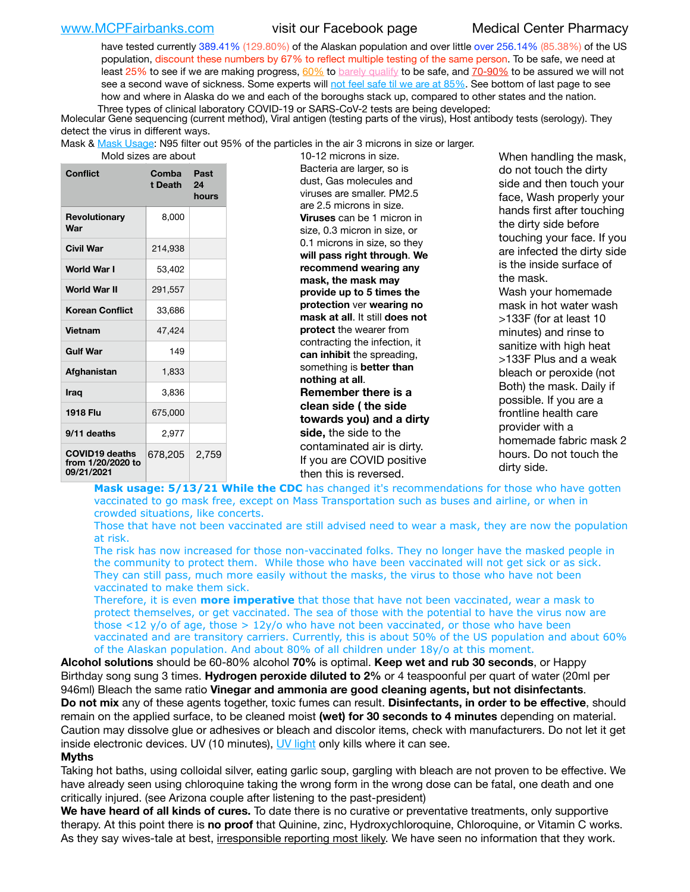[www.MCPFairbanks.com](http://www.MCPFairbanks.com) visit our Facebook page Medical Center Pharmacy

have tested currently 389.41% (129.80%) of the Alaskan population and over little over 256.14% (85.38%) of the US population, discount these numbers by 67% to reflect multiple testing of the same person. To be safe, we need at least 25% to see if we are making progress,  $60\%$  to [barely qualify](https://www.nature.com/articles/d41586-020-02948-4) to be safe, and  $70-90\%$  to be assured we will not see a second wave of sickness. Some experts will [not feel safe til we are at 85%](https://www.bannerhealth.com/healthcareblog/teach-me/what-is-herd-immunity). See bottom of last page to see how and where in Alaska do we and each of the boroughs stack up, compared to other states and the nation. Three types of clinical laboratory COVID-19 or SARS-CoV-2 tests are being developed:

 Molecular Gene sequencing (current method), Viral antigen (testing parts of the virus), Host antibody tests (serology). They detect the virus in different ways.

Mask & [Mask Usage:](https://www.nationalgeographic.com/history/2020/03/how-cities-flattened-curve-1918-spanish-flu-pandemic-coronavirus/) N95 filter out 95% of the particles in the air 3 microns in size or larger.

| Conflict                                                 | Comba<br>t Death | Past<br>24<br>hours |
|----------------------------------------------------------|------------------|---------------------|
| Revolutionary<br>War                                     | 8,000            |                     |
| <b>Civil War</b>                                         | 214,938          |                     |
| World War I                                              | 53.402           |                     |
| World War II                                             | 291,557          |                     |
| <b>Korean Conflict</b>                                   | 33,686           |                     |
| <b>Vietnam</b>                                           | 47.424           |                     |
| <b>Gulf War</b>                                          | 149              |                     |
| Afghanistan                                              | 1.833            |                     |
| <b>Iraq</b>                                              | 3,836            |                     |
| 1918 Flu                                                 | 675,000          |                     |
| 9/11 deaths                                              | 2,977            |                     |
| <b>COVID19 deaths</b><br>from 1/20/2020 to<br>09/21/2021 | 678,205          | 2,759               |

at are about 10-12 microns in size. Bacteria are larger, so is dust, Gas molecules and viruses are smaller. PM2.5 are 2.5 microns in size. **Viruses** can be 1 micron in size, 0.3 micron in size, or 0.1 microns in size, so they **will pass right through**. **We recommend wearing any mask, the mask may provide up to 5 times the protection** ver **wearing no mask at all**. It still **does not protect** the wearer from contracting the infection, it **can inhibit** the spreading, something is **better than nothing at all**. **Remember there is a clean side ( the side towards you) and a dirty side,** the side to the contaminated air is dirty. If you are COVID positive then this is reversed.

When handling the mask, do not touch the dirty side and then touch your face, Wash properly your hands first after touching the dirty side before touching your face. If you are infected the dirty side is the inside surface of the mask. Wash your homemade mask in hot water wash >133F (for at least 10 minutes) and rinse to sanitize with high heat >133F Plus and a weak bleach or peroxide (not Both) the mask. Daily if possible. If you are a frontline health care provider with a homemade fabric mask 2 hours. Do not touch the dirty side.

Mask usage: 5/13/21 While the CDC has changed it's recommendations for those who have gotten vaccinated to go mask free, except on Mass Transportation such as buses and airline, or when in crowded situations, like concerts.

Those that have not been vaccinated are still advised need to wear a mask, they are now the population at risk.

The risk has now increased for those non-vaccinated folks. They no longer have the masked people in the community to protect them. While those who have been vaccinated will not get sick or as sick. They can still pass, much more easily without the masks, the virus to those who have not been vaccinated to make them sick.

Therefore, it is even **more imperative** that those that have not been vaccinated, wear a mask to protect themselves, or get vaccinated. The sea of those with the potential to have the virus now are those <12 y/o of age, those >  $12y$ /o who have not been vaccinated, or those who have been vaccinated and are transitory carriers. Currently, this is about 50% of the US population and about 60% of the Alaskan population. And about 80% of all children under 18y/o at this moment.

**Alcohol solutions** should be 60-80% alcohol **70%** is optimal. **Keep wet and rub 30 seconds**, or Happy Birthday song sung 3 times. **Hydrogen peroxide diluted to 2%** or 4 teaspoonful per quart of water (20ml per 946ml) Bleach the same ratio **Vinegar and ammonia are good cleaning agents, but not disinfectants**. **Do not mix** any of these agents together, toxic fumes can result. **Disinfectants, in order to be effective**, should remain on the applied surface, to be cleaned moist **(wet) for 30 seconds to 4 minutes** depending on material. Caution may dissolve glue or adhesives or bleach and discolor items, check with manufacturers. Do not let it get inside electronic devices. UV (10 minutes), [UV light](http://www.docreviews.me/best-uv-boxes-2020/?fbclid=IwAR3bvFtXB48OoBBSvYvTEnKuHNPbipxM6jUo82QUSw9wckxjC7wwRZWabGw) only kills where it can see.

## **Myths**

Taking hot baths, using colloidal silver, eating garlic soup, gargling with bleach are not proven to be effective. We have already seen using chloroquine taking the wrong form in the wrong dose can be fatal, one death and one critically injured. (see Arizona couple after listening to the past-president)

**We have heard of all kinds of cures.** To date there is no curative or preventative treatments, only supportive therapy. At this point there is **no proof** that Quinine, zinc, Hydroxychloroquine, Chloroquine, or Vitamin C works. As they say wives-tale at best, irresponsible reporting most likely. We have seen no information that they work.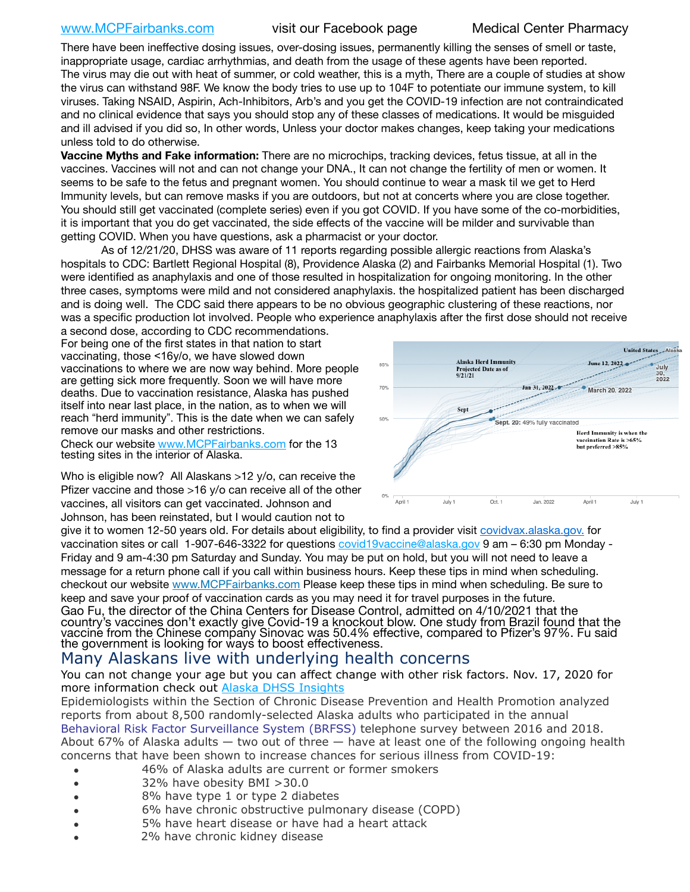## [www.MCPFairbanks.com](http://www.MCPFairbanks.com) visit our Facebook page Medical Center Pharmacy

There have been ineffective dosing issues, over-dosing issues, permanently killing the senses of smell or taste, inappropriate usage, cardiac arrhythmias, and death from the usage of these agents have been reported. The virus may die out with heat of summer, or cold weather, this is a myth, There are a couple of studies at show the virus can withstand 98F. We know the body tries to use up to 104F to potentiate our immune system, to kill viruses. Taking NSAID, Aspirin, Ach-Inhibitors, Arb's and you get the COVID-19 infection are not contraindicated and no clinical evidence that says you should stop any of these classes of medications. It would be misguided and ill advised if you did so, In other words, Unless your doctor makes changes, keep taking your medications unless told to do otherwise.

**Vaccine Myths and Fake information:** There are no microchips, tracking devices, fetus tissue, at all in the vaccines. Vaccines will not and can not change your DNA., It can not change the fertility of men or women. It seems to be safe to the fetus and pregnant women. You should continue to wear a mask til we get to Herd Immunity levels, but can remove masks if you are outdoors, but not at concerts where you are close together. You should still get vaccinated (complete series) even if you got COVID. If you have some of the co-morbidities, it is important that you do get vaccinated, the side effects of the vaccine will be milder and survivable than getting COVID. When you have questions, ask a pharmacist or your doctor.

As of 12/21/20, DHSS was aware of 11 reports regarding possible allergic reactions from Alaska's hospitals to CDC: Bartlett Regional Hospital (8), Providence Alaska (2) and Fairbanks Memorial Hospital (1). Two were identified as anaphylaxis and one of those resulted in hospitalization for ongoing monitoring. In the other three cases, symptoms were mild and not considered anaphylaxis. the hospitalized patient has been discharged and is doing well. The CDC said there appears to be no obvious geographic clustering of these reactions, nor was a specific production lot involved. People who experience anaphylaxis after the first dose should not receive

a second dose, according to CDC recommendations. For being one of the first states in that nation to start vaccinating, those <16y/o, we have slowed down vaccinations to where we are now way behind. More people are getting sick more frequently. Soon we will have more deaths. Due to vaccination resistance, Alaska has pushed itself into near last place, in the nation, as to when we will reach "herd immunity". This is the date when we can safely remove our masks and other restrictions.

Check our website [www.MCPFairbanks.com](http://www.MCPFairbanks.com) for the 13 testing sites in the interior of Alaska.

Who is eligible now? All Alaskans >12 y/o, can receive the Pfizer vaccine and those >16 y/o can receive all of the other vaccines, all visitors can get vaccinated. Johnson and Johnson, has been reinstated, but I would caution not to



give it to women 12-50 years old. For details about eligibility, to find a provider visit [covidvax.alaska.gov.](https://lnks.gd/l/eyJhbGciOiJIUzI1NiJ9.eyJidWxsZXRpbl9saW5rX2lkIjoxMDYsInVyaSI6ImJwMjpjbGljayIsImJ1bGxldGluX2lkIjoiMjAyMTAxMjguMzQwODU3NjEiLCJ1cmwiOiJodHRwOi8vZGhzcy5hbGFza2EuZ292L2RwaC9FcGkvaWQvUGFnZXMvQ09WSUQtMTkvdmFjY2luZS5hc3B4In0.-Xwhl42jAWOMS7ewfS85uxwrwjohCso3Sb81DuDKtxU/s/500544915/br/93796640171-l) for vaccination sites or call 1-907-646-3322 for questions [covid19vaccine@alaska.gov](mailto:covid19vaccine@alaska.gov?subject=COVID19%20Vaccine%20questions) 9 am – 6:30 pm Monday - Friday and 9 am-4:30 pm Saturday and Sunday. You may be put on hold, but you will not need to leave a message for a return phone call if you call within business hours. Keep these tips in mind when scheduling. checkout our website [www.MCPFairbanks.com](http://www.MCPFairbanks.com) Please keep these tips in mind when scheduling. Be sure to keep and save your proof of vaccination cards as you may need it for travel purposes in the future. Gao Fu, the director of the China Centers for Disease Control, admitted on 4/10/2021 that the country's vaccines don't exactly give Covid-19 a knockout blow. One study from Brazil found that the vaccine from the Chinese company Sinovac was 50.4% effective, compared to Pfizer's 97%. Fu said the government is looking for ways to boost effectiveness.

# Many Alaskans live with underlying health concerns

You can not change your age but you can affect change with other risk factors. Nov. 17, 2020 for more information check out **[Alaska DHSS Insights](http://dhss.alaska.gov/dph/Epi/id/Pages/COVID-19/blog/20201117.aspx)** 

Epidemiologists within the Section of Chronic Disease Prevention and Health Promotion analyzed reports from about 8,500 randomly-selected Alaska adults who participated in the annual [Behavioral Risk Factor Surveillance System \(BRFSS\)](http://dhss.alaska.gov/dph/Chronic/Pages/brfss/default.aspx) telephone survey between 2016 and 2018. About 67% of Alaska adults — two out of three — have at least one of the following ongoing health concerns that have been shown to increase chances for serious illness from COVID-19:

- 46% of Alaska adults are current or former smokers
- 32% have obesity BMI >30.0
- 8% have type 1 or type 2 diabetes
- 6% have chronic obstructive pulmonary disease (COPD)
- 5% have heart disease or have had a heart attack
- 2% have chronic kidney disease